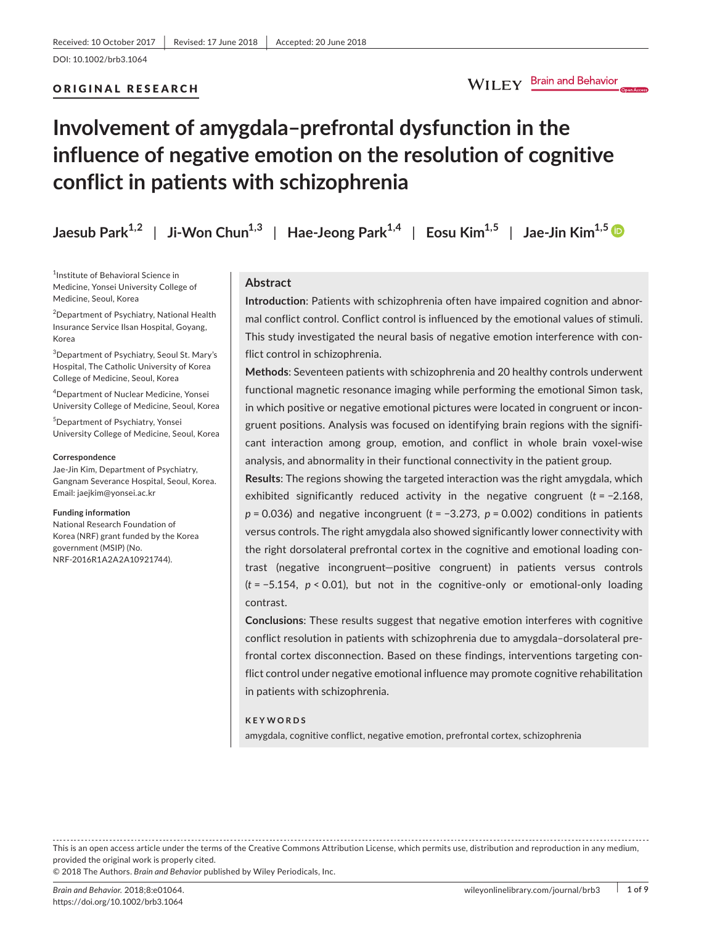### ORIGINAL RESEARCH

# WILEY Brain and Behavior

# **Involvement of amygdala–prefrontal dysfunction in the influence of negative emotion on the resolution of cognitive conflict in patients with schizophrenia**

| Jaesub Park <sup>1,2</sup>   Ji-Won Chun <sup>1,3</sup>   Hae-Jeong Park <sup>1,4</sup>   Eosu Kim <sup>1,5</sup>   Jae-Jin Kim <sup>1,5</sup> |  |  |  |
|------------------------------------------------------------------------------------------------------------------------------------------------|--|--|--|
|------------------------------------------------------------------------------------------------------------------------------------------------|--|--|--|

1 Institute of Behavioral Science in Medicine, Yonsei University College of Medicine, Seoul, Korea

2 Department of Psychiatry, National Health Insurance Service Ilsan Hospital, Goyang, Korea

3 Department of Psychiatry, Seoul St. Mary's Hospital, The Catholic University of Korea College of Medicine, Seoul, Korea

4 Department of Nuclear Medicine, Yonsei University College of Medicine, Seoul, Korea

5 Department of Psychiatry, Yonsei University College of Medicine, Seoul, Korea

#### **Correspondence**

Jae-Jin Kim, Department of Psychiatry, Gangnam Severance Hospital, Seoul, Korea. Email: [jaejkim@yonsei.ac.kr](mailto:jaejkim@yonsei.ac.kr)

#### **Funding information**

National Research Foundation of Korea (NRF) grant funded by the Korea government (MSIP) (No. NRF-2016R1A2A2A10921744).

# **Abstract**

**Introduction**: Patients with schizophrenia often have impaired cognition and abnormal conflict control. Conflict control is influenced by the emotional values of stimuli. This study investigated the neural basis of negative emotion interference with conflict control in schizophrenia.

**Methods**: Seventeen patients with schizophrenia and 20 healthy controls underwent functional magnetic resonance imaging while performing the emotional Simon task, in which positive or negative emotional pictures were located in congruent or incongruent positions. Analysis was focused on identifying brain regions with the significant interaction among group, emotion, and conflict in whole brain voxel-wise analysis, and abnormality in their functional connectivity in the patient group.

**Results**: The regions showing the targeted interaction was the right amygdala, which exhibited significantly reduced activity in the negative congruent (*t* = −2.168, *p* = 0.036) and negative incongruent (*t* = −3.273, *p* = 0.002) conditions in patients versus controls. The right amygdala also showed significantly lower connectivity with the right dorsolateral prefrontal cortex in the cognitive and emotional loading contrast (negative incongruent—positive congruent) in patients versus controls (*t* = −5.154, *p* < 0.01), but not in the cognitive-only or emotional-only loading contrast.

**Conclusions**: These results suggest that negative emotion interferes with cognitive conflict resolution in patients with schizophrenia due to amygdala–dorsolateral prefrontal cortex disconnection. Based on these findings, interventions targeting conflict control under negative emotional influence may promote cognitive rehabilitation in patients with schizophrenia.

#### **KEYWORDS**

amygdala, cognitive conflict, negative emotion, prefrontal cortex, schizophrenia

This is an open access article under the terms of the Creative Commons [Attribution](http://creativecommons.org/licenses/by/4.0/) License, which permits use, distribution and reproduction in any medium, provided the original work is properly cited.

© 2018 The Authors. *Brain and Behavior* published by Wiley Periodicals, Inc.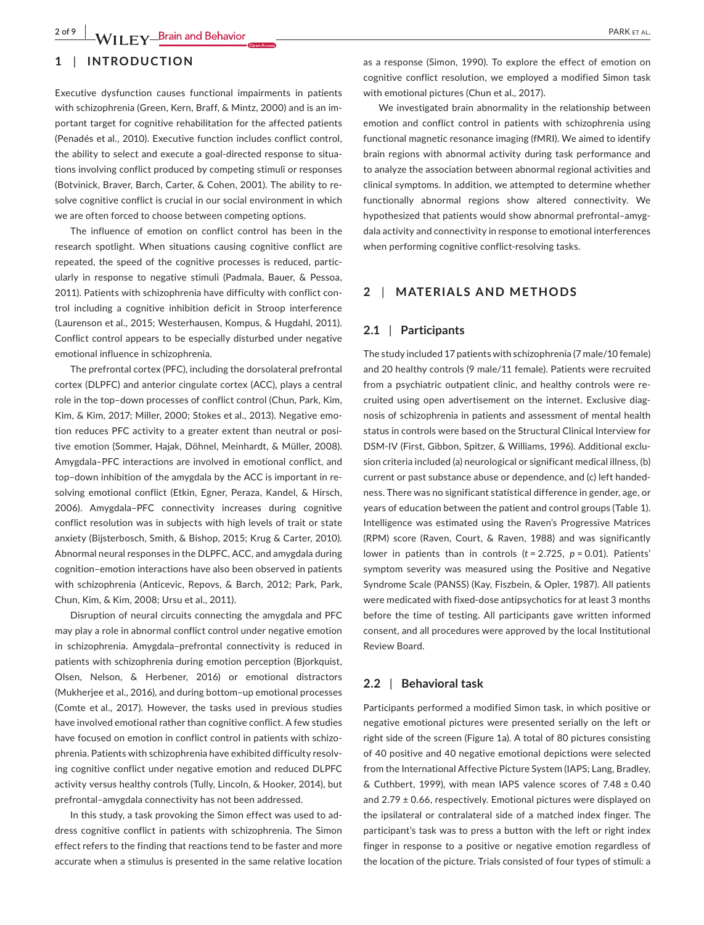# **1** | **INTRODUCTION**

Executive dysfunction causes functional impairments in patients with schizophrenia (Green, Kern, Braff, & Mintz, 2000) and is an important target for cognitive rehabilitation for the affected patients (Penadés et al., 2010). Executive function includes conflict control, the ability to select and execute a goal-directed response to situations involving conflict produced by competing stimuli or responses (Botvinick, Braver, Barch, Carter, & Cohen, 2001). The ability to resolve cognitive conflict is crucial in our social environment in which we are often forced to choose between competing options.

The influence of emotion on conflict control has been in the research spotlight. When situations causing cognitive conflict are repeated, the speed of the cognitive processes is reduced, particularly in response to negative stimuli (Padmala, Bauer, & Pessoa, 2011). Patients with schizophrenia have difficulty with conflict control including a cognitive inhibition deficit in Stroop interference (Laurenson et al., 2015; Westerhausen, Kompus, & Hugdahl, 2011). Conflict control appears to be especially disturbed under negative emotional influence in schizophrenia.

The prefrontal cortex (PFC), including the dorsolateral prefrontal cortex (DLPFC) and anterior cingulate cortex (ACC), plays a central role in the top–down processes of conflict control (Chun, Park, Kim, Kim, & Kim, 2017; Miller, 2000; Stokes et al., 2013). Negative emotion reduces PFC activity to a greater extent than neutral or positive emotion (Sommer, Hajak, Döhnel, Meinhardt, & Müller, 2008). Amygdala–PFC interactions are involved in emotional conflict, and top–down inhibition of the amygdala by the ACC is important in resolving emotional conflict (Etkin, Egner, Peraza, Kandel, & Hirsch, 2006). Amygdala–PFC connectivity increases during cognitive conflict resolution was in subjects with high levels of trait or state anxiety (Bijsterbosch, Smith, & Bishop, 2015; Krug & Carter, 2010). Abnormal neural responses in the DLPFC, ACC, and amygdala during cognition–emotion interactions have also been observed in patients with schizophrenia (Anticevic, Repovs, & Barch, 2012; Park, Park, Chun, Kim, & Kim, 2008; Ursu et al., 2011).

Disruption of neural circuits connecting the amygdala and PFC may play a role in abnormal conflict control under negative emotion in schizophrenia. Amygdala–prefrontal connectivity is reduced in patients with schizophrenia during emotion perception (Bjorkquist, Olsen, Nelson, & Herbener, 2016) or emotional distractors (Mukherjee et al., 2016), and during bottom–up emotional processes (Comte et al., 2017). However, the tasks used in previous studies have involved emotional rather than cognitive conflict. A few studies have focused on emotion in conflict control in patients with schizophrenia. Patients with schizophrenia have exhibited difficulty resolving cognitive conflict under negative emotion and reduced DLPFC activity versus healthy controls (Tully, Lincoln, & Hooker, 2014), but prefrontal–amygdala connectivity has not been addressed.

In this study, a task provoking the Simon effect was used to address cognitive conflict in patients with schizophrenia. The Simon effect refers to the finding that reactions tend to be faster and more accurate when a stimulus is presented in the same relative location

as a response (Simon, 1990). To explore the effect of emotion on cognitive conflict resolution, we employed a modified Simon task with emotional pictures (Chun et al., 2017).

We investigated brain abnormality in the relationship between emotion and conflict control in patients with schizophrenia using functional magnetic resonance imaging (fMRI). We aimed to identify brain regions with abnormal activity during task performance and to analyze the association between abnormal regional activities and clinical symptoms. In addition, we attempted to determine whether functionally abnormal regions show altered connectivity. We hypothesized that patients would show abnormal prefrontal–amygdala activity and connectivity in response to emotional interferences when performing cognitive conflict-resolving tasks.

## **2** | **MATERIALS AND METHODS**

#### **2.1** | **Participants**

The study included 17 patients with schizophrenia (7 male/10 female) and 20 healthy controls (9 male/11 female). Patients were recruited from a psychiatric outpatient clinic, and healthy controls were recruited using open advertisement on the internet. Exclusive diagnosis of schizophrenia in patients and assessment of mental health status in controls were based on the Structural Clinical Interview for DSM-IV (First, Gibbon, Spitzer, & Williams, 1996). Additional exclusion criteria included (a) neurological or significant medical illness, (b) current or past substance abuse or dependence, and (c) left handedness. There was no significant statistical difference in gender, age, or years of education between the patient and control groups (Table 1). Intelligence was estimated using the Raven's Progressive Matrices (RPM) score (Raven, Court, & Raven, 1988) and was significantly lower in patients than in controls (*t* = 2.725, *p* = 0.01). Patients' symptom severity was measured using the Positive and Negative Syndrome Scale (PANSS) (Kay, Fiszbein, & Opler, 1987). All patients were medicated with fixed-dose antipsychotics for at least 3 months before the time of testing. All participants gave written informed consent, and all procedures were approved by the local Institutional Review Board.

#### **2.2** | **Behavioral task**

Participants performed a modified Simon task, in which positive or negative emotional pictures were presented serially on the left or right side of the screen (Figure 1a). A total of 80 pictures consisting of 40 positive and 40 negative emotional depictions were selected from the International Affective Picture System (IAPS; Lang, Bradley, & Cuthbert, 1999), with mean IAPS valence scores of 7.48 ± 0.40 and 2.79 ± 0.66, respectively. Emotional pictures were displayed on the ipsilateral or contralateral side of a matched index finger. The participant's task was to press a button with the left or right index finger in response to a positive or negative emotion regardless of the location of the picture. Trials consisted of four types of stimuli: a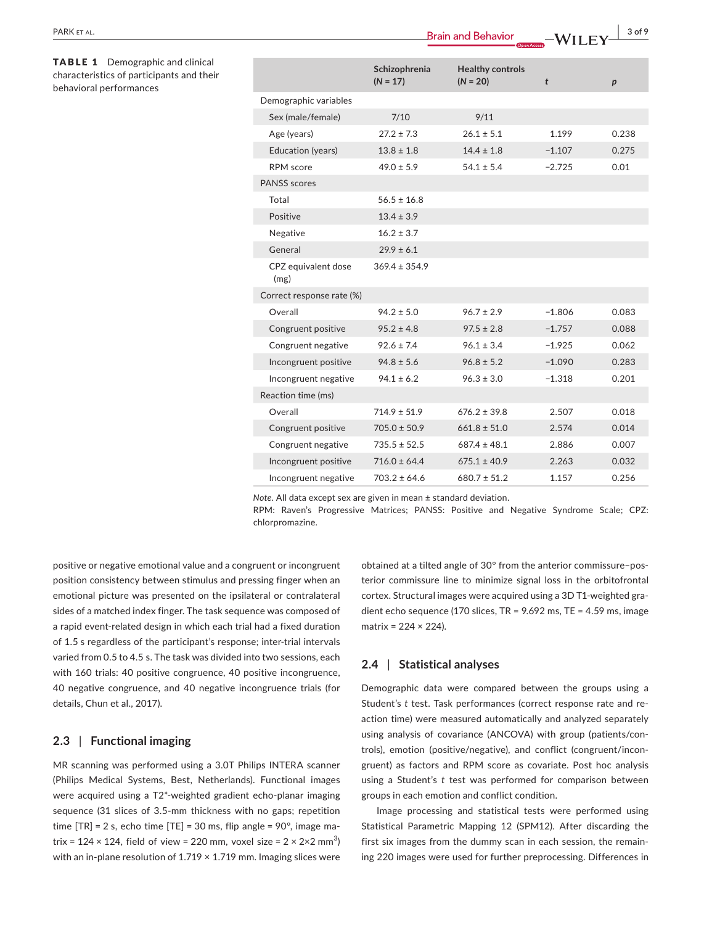TABLE 1 Demographic and clinical characteristics of participants and their behavioral performances

|                             | $\Box$ Open Access          |                                       |          |       |  |
|-----------------------------|-----------------------------|---------------------------------------|----------|-------|--|
|                             | Schizophrenia<br>$(N = 17)$ | <b>Healthy controls</b><br>$(N = 20)$ | t        | p     |  |
| Demographic variables       |                             |                                       |          |       |  |
| Sex (male/female)           | 7/10                        | 9/11                                  |          |       |  |
| Age (years)                 | $27.2 \pm 7.3$              | $26.1 \pm 5.1$                        | 1.199    | 0.238 |  |
| Education (years)           | $13.8 \pm 1.8$              | $14.4 \pm 1.8$                        | $-1.107$ | 0.275 |  |
| <b>RPM</b> score            | $49.0 \pm 5.9$              | $54.1 \pm 5.4$                        | $-2.725$ | 0.01  |  |
| <b>PANSS</b> scores         |                             |                                       |          |       |  |
| Total                       | $56.5 \pm 16.8$             |                                       |          |       |  |
| Positive                    | $13.4 \pm 3.9$              |                                       |          |       |  |
| Negative                    | $16.2 \pm 3.7$              |                                       |          |       |  |
| General                     | $29.9 \pm 6.1$              |                                       |          |       |  |
| CPZ equivalent dose<br>(mg) | $369.4 \pm 354.9$           |                                       |          |       |  |
| Correct response rate (%)   |                             |                                       |          |       |  |
| Overall                     | $94.2 \pm 5.0$              | $96.7 \pm 2.9$                        | $-1.806$ | 0.083 |  |
| Congruent positive          | $95.2 \pm 4.8$              | $97.5 \pm 2.8$                        | $-1.757$ | 0.088 |  |
| Congruent negative          | $92.6 \pm 7.4$              | $96.1 \pm 3.4$                        | $-1.925$ | 0.062 |  |
| Incongruent positive        | $94.8 \pm 5.6$              | $96.8 \pm 5.2$                        | $-1.090$ | 0.283 |  |
| Incongruent negative        | $94.1 \pm 6.2$              | $96.3 \pm 3.0$                        | $-1.318$ | 0.201 |  |
| Reaction time (ms)          |                             |                                       |          |       |  |
| Overall                     | $714.9 \pm 51.9$            | $676.2 \pm 39.8$                      | 2.507    | 0.018 |  |
| Congruent positive          | $705.0 \pm 50.9$            | $661.8 \pm 51.0$                      | 2.574    | 0.014 |  |
| Congruent negative          | $735.5 \pm 52.5$            | $687.4 \pm 48.1$                      | 2.886    | 0.007 |  |
| Incongruent positive        | $716.0 \pm 64.4$            | $675.1 \pm 40.9$                      | 2.263    | 0.032 |  |
| Incongruent negative        | $703.2 \pm 64.6$            | $680.7 \pm 51.2$                      | 1.157    | 0.256 |  |

*Note.* All data except sex are given in mean ± standard deviation.

RPM: Raven's Progressive Matrices; PANSS: Positive and Negative Syndrome Scale; CPZ: chlorpromazine.

positive or negative emotional value and a congruent or incongruent position consistency between stimulus and pressing finger when an emotional picture was presented on the ipsilateral or contralateral sides of a matched index finger. The task sequence was composed of a rapid event-related design in which each trial had a fixed duration of 1.5 s regardless of the participant's response; inter-trial intervals varied from 0.5 to 4.5 s. The task was divided into two sessions, each with 160 trials: 40 positive congruence, 40 positive incongruence, 40 negative congruence, and 40 negative incongruence trials (for details, Chun et al., 2017).

# **2.3** | **Functional imaging**

MR scanning was performed using a 3.0T Philips INTERA scanner (Philips Medical Systems, Best, Netherlands). Functional images were acquired using a T2\*-weighted gradient echo-planar imaging sequence (31 slices of 3.5-mm thickness with no gaps; repetition time  $[TR] = 2$  s, echo time  $[TE] = 30$  ms, flip angle = 90°, image matrix = 124 × 124, field of view = 220 mm, voxel size = 2 × 2×2 mm $^3$ ) with an in-plane resolution of  $1.719 \times 1.719$  mm. Imaging slices were obtained at a tilted angle of 30° from the anterior commissure–posterior commissure line to minimize signal loss in the orbitofrontal cortex. Structural images were acquired using a 3D T1-weighted gradient echo sequence (170 slices, TR = 9.692 ms, TE = 4.59 ms, image matrix =  $224 \times 224$ ).

## **2.4** | **Statistical analyses**

Demographic data were compared between the groups using a Student's *t* test. Task performances (correct response rate and reaction time) were measured automatically and analyzed separately using analysis of covariance (ANCOVA) with group (patients/controls), emotion (positive/negative), and conflict (congruent/incongruent) as factors and RPM score as covariate. Post hoc analysis using a Student's *t* test was performed for comparison between groups in each emotion and conflict condition.

Image processing and statistical tests were performed using Statistical Parametric Mapping 12 (SPM12). After discarding the first six images from the dummy scan in each session, the remaining 220 images were used for further preprocessing. Differences in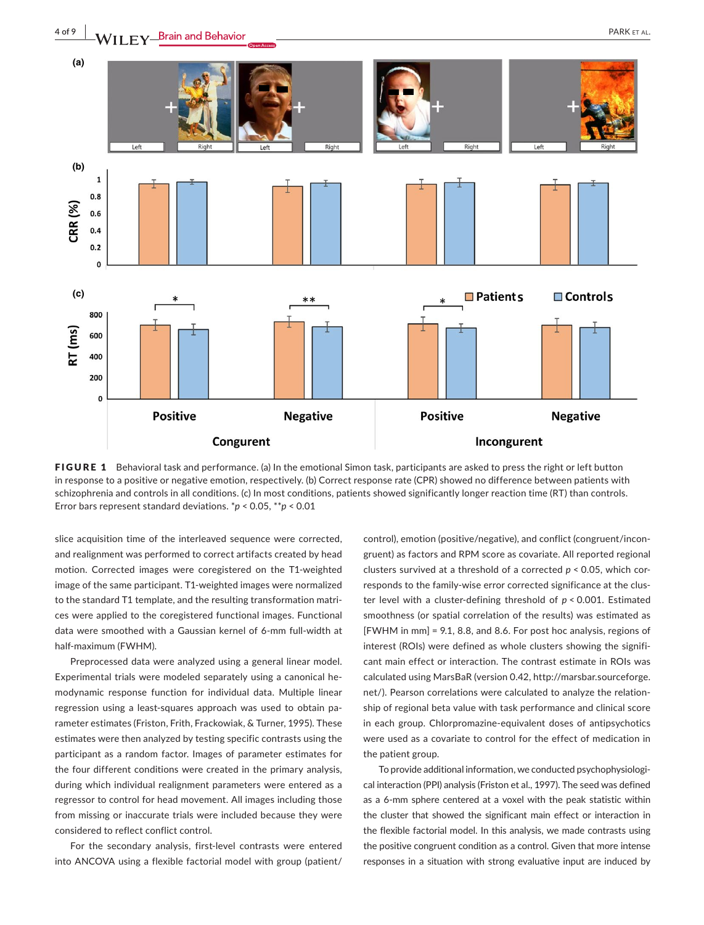

FIGURE 1 Behavioral task and performance. (a) In the emotional Simon task, participants are asked to press the right or left button in response to a positive or negative emotion, respectively. (b) Correct response rate (CPR) showed no difference between patients with schizophrenia and controls in all conditions. (c) In most conditions, patients showed significantly longer reaction time (RT) than controls. Error bars represent standard deviations. \**p* < 0.05, \*\**p* < 0.01

slice acquisition time of the interleaved sequence were corrected, and realignment was performed to correct artifacts created by head motion. Corrected images were coregistered on the T1-weighted image of the same participant. T1-weighted images were normalized to the standard T1 template, and the resulting transformation matrices were applied to the coregistered functional images. Functional data were smoothed with a Gaussian kernel of 6-mm full-width at half-maximum (FWHM).

Preprocessed data were analyzed using a general linear model. Experimental trials were modeled separately using a canonical hemodynamic response function for individual data. Multiple linear regression using a least-squares approach was used to obtain parameter estimates (Friston, Frith, Frackowiak, & Turner, 1995). These estimates were then analyzed by testing specific contrasts using the participant as a random factor. Images of parameter estimates for the four different conditions were created in the primary analysis, during which individual realignment parameters were entered as a regressor to control for head movement. All images including those from missing or inaccurate trials were included because they were considered to reflect conflict control.

For the secondary analysis, first-level contrasts were entered into ANCOVA using a flexible factorial model with group (patient/

control), emotion (positive/negative), and conflict (congruent/incongruent) as factors and RPM score as covariate. All reported regional clusters survived at a threshold of a corrected *p* < 0.05, which corresponds to the family-wise error corrected significance at the cluster level with a cluster-defining threshold of *p* < 0.001. Estimated smoothness (or spatial correlation of the results) was estimated as [FWHM in mm] = 9.1, 8.8, and 8.6. For post hoc analysis, regions of interest (ROIs) were defined as whole clusters showing the significant main effect or interaction. The contrast estimate in ROIs was calculated using MarsBaR (version 0.42, [http://marsbar.sourceforge.](http://marsbar.sourceforge.net/) [net/](http://marsbar.sourceforge.net/)). Pearson correlations were calculated to analyze the relationship of regional beta value with task performance and clinical score in each group. Chlorpromazine-equivalent doses of antipsychotics were used as a covariate to control for the effect of medication in the patient group.

To provide additional information, we conducted psychophysiological interaction (PPI) analysis (Friston et al., 1997). The seed was defined as a 6-mm sphere centered at a voxel with the peak statistic within the cluster that showed the significant main effect or interaction in the flexible factorial model. In this analysis, we made contrasts using the positive congruent condition as a control. Given that more intense responses in a situation with strong evaluative input are induced by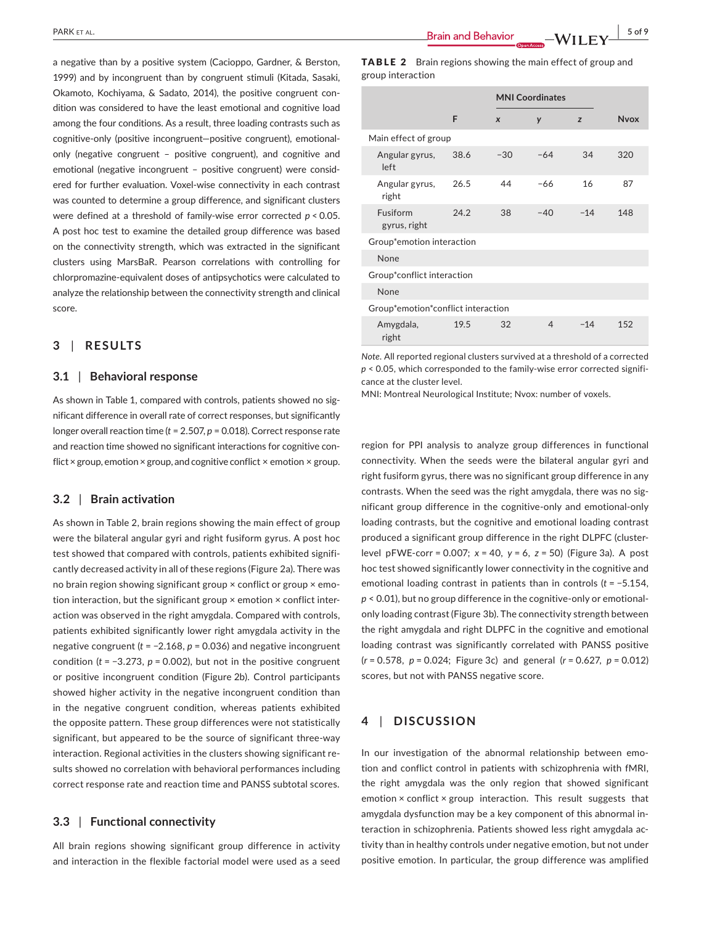a negative than by a positive system (Cacioppo, Gardner, & Berston, 1999) and by incongruent than by congruent stimuli (Kitada, Sasaki, Okamoto, Kochiyama, & Sadato, 2014), the positive congruent condition was considered to have the least emotional and cognitive load among the four conditions. As a result, three loading contrasts such as cognitive-only (positive incongruent—positive congruent), emotionalonly (negative congruent – positive congruent), and cognitive and emotional (negative incongruent – positive congruent) were considered for further evaluation. Voxel-wise connectivity in each contrast was counted to determine a group difference, and significant clusters were defined at a threshold of family-wise error corrected *p* < 0.05. A post hoc test to examine the detailed group difference was based on the connectivity strength, which was extracted in the significant clusters using MarsBaR. Pearson correlations with controlling for chlorpromazine-equivalent doses of antipsychotics were calculated to analyze the relationship between the connectivity strength and clinical score.

# **3** | **RESULTS**

#### **3.1** | **Behavioral response**

As shown in Table 1, compared with controls, patients showed no significant difference in overall rate of correct responses, but significantly longer overall reaction time (*t* = 2.507, *p* = 0.018). Correct response rate and reaction time showed no significant interactions for cognitive conflict × group, emotion × group, and cognitive conflict × emotion × group.

#### **3.2** | **Brain activation**

As shown in Table 2, brain regions showing the main effect of group were the bilateral angular gyri and right fusiform gyrus. A post hoc test showed that compared with controls, patients exhibited significantly decreased activity in all of these regions (Figure 2a). There was no brain region showing significant group × conflict or group × emotion interaction, but the significant group × emotion × conflict interaction was observed in the right amygdala. Compared with controls, patients exhibited significantly lower right amygdala activity in the negative congruent (*t* = −2.168, *p* = 0.036) and negative incongruent condition (*t* = −3.273, *p* = 0.002), but not in the positive congruent or positive incongruent condition (Figure 2b). Control participants showed higher activity in the negative incongruent condition than in the negative congruent condition, whereas patients exhibited the opposite pattern. These group differences were not statistically significant, but appeared to be the source of significant three-way interaction. Regional activities in the clusters showing significant results showed no correlation with behavioral performances including correct response rate and reaction time and PANSS subtotal scores.

#### **3.3** | **Functional connectivity**

All brain regions showing significant group difference in activity and interaction in the flexible factorial model were used as a seed

|                   | <b>TABLE 2</b> Brain regions showing the main effect of group and |
|-------------------|-------------------------------------------------------------------|
| group interaction |                                                                   |

|                                    |      |                  | <b>MNI Coordinates</b> |       |             |  |
|------------------------------------|------|------------------|------------------------|-------|-------------|--|
|                                    | F    | $\boldsymbol{x}$ | y                      | z     | <b>Nvox</b> |  |
| Main effect of group               |      |                  |                        |       |             |  |
| Angular gyrus,<br>left             | 38.6 | $-30$            | $-64$                  | 34    | 320         |  |
| Angular gyrus,<br>right            | 26.5 | 44               | $-66$                  | 16    | 87          |  |
| Fusiform<br>gyrus, right           | 24.2 | 38               | $-40$                  | $-14$ | 148         |  |
| Group*emotion interaction          |      |                  |                        |       |             |  |
| None                               |      |                  |                        |       |             |  |
| Group*conflict interaction         |      |                  |                        |       |             |  |
| None                               |      |                  |                        |       |             |  |
| Group*emotion*conflict interaction |      |                  |                        |       |             |  |
| Amygdala,<br>right                 | 19.5 | 32               | $\overline{4}$         | $-14$ | 152         |  |

*Note.* All reported regional clusters survived at a threshold of a corrected *p* < 0.05, which corresponded to the family-wise error corrected significance at the cluster level.

MNI: Montreal Neurological Institute; Nvox: number of voxels.

region for PPI analysis to analyze group differences in functional connectivity. When the seeds were the bilateral angular gyri and right fusiform gyrus, there was no significant group difference in any contrasts. When the seed was the right amygdala, there was no significant group difference in the cognitive-only and emotional-only loading contrasts, but the cognitive and emotional loading contrast produced a significant group difference in the right DLPFC (clusterlevel pFWE-corr = 0.007; *x* = 40, *y* = 6, *z* = 50) (Figure 3a). A post hoc test showed significantly lower connectivity in the cognitive and emotional loading contrast in patients than in controls (*t* = −5.154, *p* < 0.01), but no group difference in the cognitive-only or emotionalonly loading contrast (Figure 3b). The connectivity strength between the right amygdala and right DLPFC in the cognitive and emotional loading contrast was significantly correlated with PANSS positive (*r* = 0.578, *p* = 0.024; Figure 3c) and general (*r* = 0.627, *p* = 0.012) scores, but not with PANSS negative score.

# **4** | **DISCUSSION**

In our investigation of the abnormal relationship between emotion and conflict control in patients with schizophrenia with fMRI, the right amygdala was the only region that showed significant emotion × conflict × group interaction. This result suggests that amygdala dysfunction may be a key component of this abnormal interaction in schizophrenia. Patients showed less right amygdala activity than in healthy controls under negative emotion, but not under positive emotion. In particular, the group difference was amplified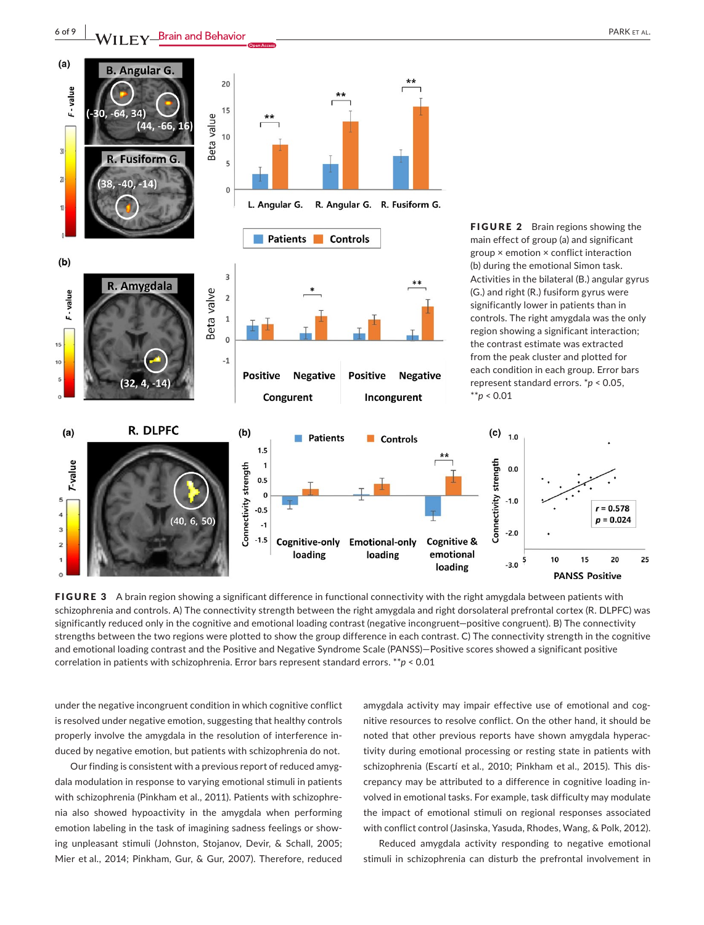



FIGURE 3 A brain region showing a significant difference in functional connectivity with the right amygdala between patients with schizophrenia and controls. A) The connectivity strength between the right amygdala and right dorsolateral prefrontal cortex (R. DLPFC) was significantly reduced only in the cognitive and emotional loading contrast (negative incongruent—positive congruent). B) The connectivity strengths between the two regions were plotted to show the group difference in each contrast. C) The connectivity strength in the cognitive and emotional loading contrast and the Positive and Negative Syndrome Scale (PANSS)—Positive scores showed a significant positive correlation in patients with schizophrenia. Error bars represent standard errors. \*\**p* < 0.01

under the negative incongruent condition in which cognitive conflict is resolved under negative emotion, suggesting that healthy controls properly involve the amygdala in the resolution of interference induced by negative emotion, but patients with schizophrenia do not.

Our finding is consistent with a previous report of reduced amygdala modulation in response to varying emotional stimuli in patients with schizophrenia (Pinkham et al., 2011). Patients with schizophrenia also showed hypoactivity in the amygdala when performing emotion labeling in the task of imagining sadness feelings or showing unpleasant stimuli (Johnston, Stojanov, Devir, & Schall, 2005; Mier et al., 2014; Pinkham, Gur, & Gur, 2007). Therefore, reduced

amygdala activity may impair effective use of emotional and cognitive resources to resolve conflict. On the other hand, it should be noted that other previous reports have shown amygdala hyperactivity during emotional processing or resting state in patients with schizophrenia (Escartí et al., 2010; Pinkham et al., 2015). This discrepancy may be attributed to a difference in cognitive loading involved in emotional tasks. For example, task difficulty may modulate the impact of emotional stimuli on regional responses associated with conflict control (Jasinska, Yasuda, Rhodes, Wang, & Polk, 2012).

Reduced amygdala activity responding to negative emotional stimuli in schizophrenia can disturb the prefrontal involvement in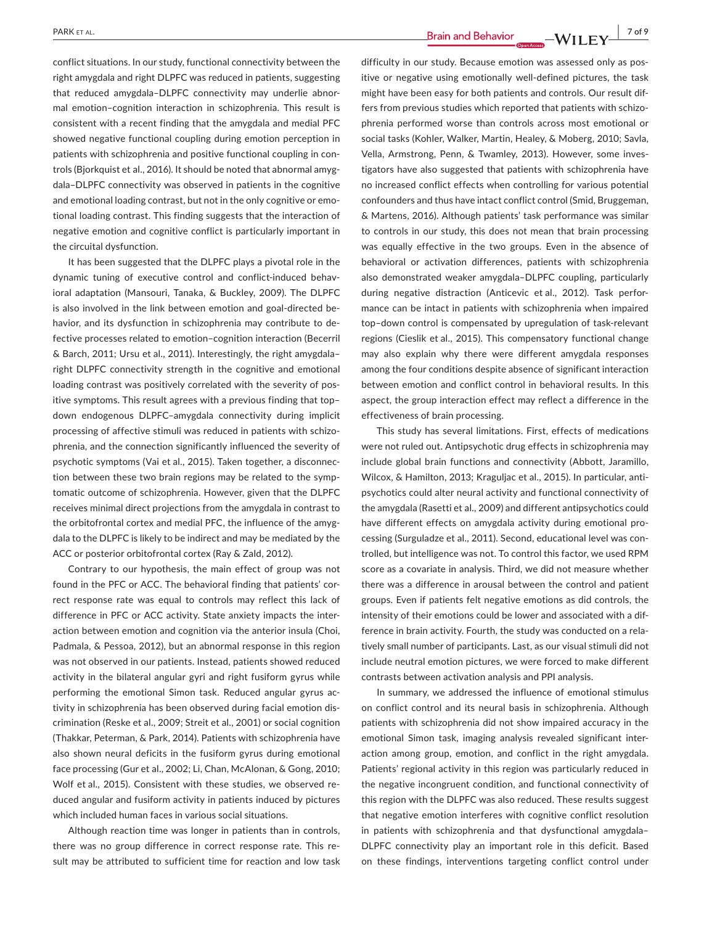**PARK ET AL.** 2019

conflict situations. In our study, functional connectivity between the right amygdala and right DLPFC was reduced in patients, suggesting that reduced amygdala–DLPFC connectivity may underlie abnormal emotion–cognition interaction in schizophrenia. This result is consistent with a recent finding that the amygdala and medial PFC showed negative functional coupling during emotion perception in patients with schizophrenia and positive functional coupling in controls (Bjorkquist et al., 2016). It should be noted that abnormal amygdala–DLPFC connectivity was observed in patients in the cognitive and emotional loading contrast, but not in the only cognitive or emotional loading contrast. This finding suggests that the interaction of negative emotion and cognitive conflict is particularly important in the circuital dysfunction.

It has been suggested that the DLPFC plays a pivotal role in the dynamic tuning of executive control and conflict-induced behavioral adaptation (Mansouri, Tanaka, & Buckley, 2009). The DLPFC is also involved in the link between emotion and goal-directed behavior, and its dysfunction in schizophrenia may contribute to defective processes related to emotion–cognition interaction (Becerril & Barch, 2011; Ursu et al., 2011). Interestingly, the right amygdala– right DLPFC connectivity strength in the cognitive and emotional loading contrast was positively correlated with the severity of positive symptoms. This result agrees with a previous finding that top– down endogenous DLPFC–amygdala connectivity during implicit processing of affective stimuli was reduced in patients with schizophrenia, and the connection significantly influenced the severity of psychotic symptoms (Vai et al., 2015). Taken together, a disconnection between these two brain regions may be related to the symptomatic outcome of schizophrenia. However, given that the DLPFC receives minimal direct projections from the amygdala in contrast to the orbitofrontal cortex and medial PFC, the influence of the amygdala to the DLPFC is likely to be indirect and may be mediated by the ACC or posterior orbitofrontal cortex (Ray & Zald, 2012).

Contrary to our hypothesis, the main effect of group was not found in the PFC or ACC. The behavioral finding that patients' correct response rate was equal to controls may reflect this lack of difference in PFC or ACC activity. State anxiety impacts the interaction between emotion and cognition via the anterior insula (Choi, Padmala, & Pessoa, 2012), but an abnormal response in this region was not observed in our patients. Instead, patients showed reduced activity in the bilateral angular gyri and right fusiform gyrus while performing the emotional Simon task. Reduced angular gyrus activity in schizophrenia has been observed during facial emotion discrimination (Reske et al., 2009; Streit et al., 2001) or social cognition (Thakkar, Peterman, & Park, 2014). Patients with schizophrenia have also shown neural deficits in the fusiform gyrus during emotional face processing (Gur et al., 2002; Li, Chan, McAlonan, & Gong, 2010; Wolf et al., 2015). Consistent with these studies, we observed reduced angular and fusiform activity in patients induced by pictures which included human faces in various social situations.

Although reaction time was longer in patients than in controls, there was no group difference in correct response rate. This result may be attributed to sufficient time for reaction and low task difficulty in our study. Because emotion was assessed only as positive or negative using emotionally well-defined pictures, the task might have been easy for both patients and controls. Our result differs from previous studies which reported that patients with schizophrenia performed worse than controls across most emotional or social tasks (Kohler, Walker, Martin, Healey, & Moberg, 2010; Savla, Vella, Armstrong, Penn, & Twamley, 2013). However, some investigators have also suggested that patients with schizophrenia have no increased conflict effects when controlling for various potential confounders and thus have intact conflict control (Smid, Bruggeman, & Martens, 2016). Although patients' task performance was similar to controls in our study, this does not mean that brain processing was equally effective in the two groups. Even in the absence of behavioral or activation differences, patients with schizophrenia also demonstrated weaker amygdala–DLPFC coupling, particularly during negative distraction (Anticevic et al., 2012). Task performance can be intact in patients with schizophrenia when impaired top–down control is compensated by upregulation of task-relevant regions (Cieslik et al., 2015). This compensatory functional change may also explain why there were different amygdala responses among the four conditions despite absence of significant interaction between emotion and conflict control in behavioral results. In this aspect, the group interaction effect may reflect a difference in the effectiveness of brain processing.

This study has several limitations. First, effects of medications were not ruled out. Antipsychotic drug effects in schizophrenia may include global brain functions and connectivity (Abbott, Jaramillo, Wilcox, & Hamilton, 2013; Kraguljac et al., 2015). In particular, antipsychotics could alter neural activity and functional connectivity of the amygdala (Rasetti et al., 2009) and different antipsychotics could have different effects on amygdala activity during emotional processing (Surguladze et al., 2011). Second, educational level was controlled, but intelligence was not. To control this factor, we used RPM score as a covariate in analysis. Third, we did not measure whether there was a difference in arousal between the control and patient groups. Even if patients felt negative emotions as did controls, the intensity of their emotions could be lower and associated with a difference in brain activity. Fourth, the study was conducted on a relatively small number of participants. Last, as our visual stimuli did not include neutral emotion pictures, we were forced to make different contrasts between activation analysis and PPI analysis.

In summary, we addressed the influence of emotional stimulus on conflict control and its neural basis in schizophrenia. Although patients with schizophrenia did not show impaired accuracy in the emotional Simon task, imaging analysis revealed significant interaction among group, emotion, and conflict in the right amygdala. Patients' regional activity in this region was particularly reduced in the negative incongruent condition, and functional connectivity of this region with the DLPFC was also reduced. These results suggest that negative emotion interferes with cognitive conflict resolution in patients with schizophrenia and that dysfunctional amygdala– DLPFC connectivity play an important role in this deficit. Based on these findings, interventions targeting conflict control under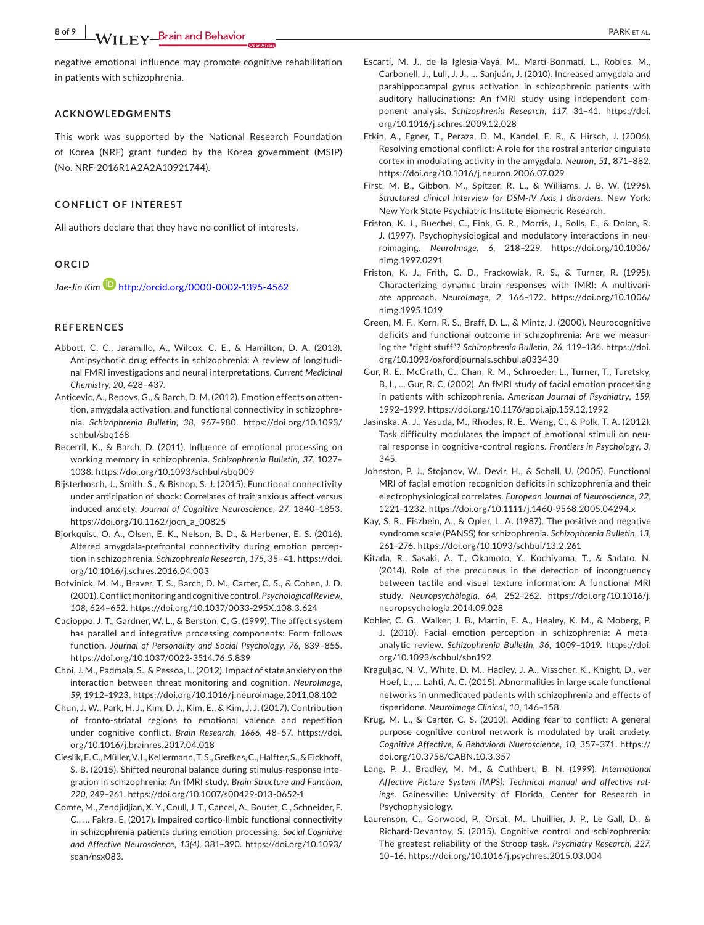**8 of 9 |**  PARK et al.

negative emotional influence may promote cognitive rehabilitation in patients with schizophrenia.

#### **ACKNOWLEDGMENTS**

This work was supported by the National Research Foundation of Korea (NRF) grant funded by the Korea government (MSIP) (No. NRF-2016R1A2A2A10921744).

#### **CONFLICT OF INTEREST**

All authors declare that they have no conflict of interests.

## **ORCID**

*Jae-Jin Kim* <http://orcid.org/0000-0002-1395-4562>

#### **REFERENCES**

- Abbott, C. C., Jaramillo, A., Wilcox, C. E., & Hamilton, D. A. (2013). Antipsychotic drug effects in schizophrenia: A review of longitudinal FMRI investigations and neural interpretations. *Current Medicinal Chemistry*, *20*, 428–437.
- Anticevic, A., Repovs, G., & Barch, D. M. (2012). Emotion effects on attention, amygdala activation, and functional connectivity in schizophrenia. *Schizophrenia Bulletin*, *38*, 967–980. [https://doi.org/10.1093/](https://doi.org/10.1093/schbul/sbq168) [schbul/sbq168](https://doi.org/10.1093/schbul/sbq168)
- Becerril, K., & Barch, D. (2011). Influence of emotional processing on working memory in schizophrenia. *Schizophrenia Bulletin*, *37*, 1027– 1038. <https://doi.org/10.1093/schbul/sbq009>
- Bijsterbosch, J., Smith, S., & Bishop, S. J. (2015). Functional connectivity under anticipation of shock: Correlates of trait anxious affect versus induced anxiety. *Journal of Cognitive Neuroscience*, *27*, 1840–1853. [https://doi.org/10.1162/jocn\\_a\\_00825](https://doi.org/10.1162/jocn_a_00825)
- Bjorkquist, O. A., Olsen, E. K., Nelson, B. D., & Herbener, E. S. (2016). Altered amygdala-prefrontal connectivity during emotion perception in schizophrenia. *Schizophrenia Research*, *175*, 35–41. [https://doi.](https://doi.org/10.1016/j.schres.2016.04.003) [org/10.1016/j.schres.2016.04.003](https://doi.org/10.1016/j.schres.2016.04.003)
- Botvinick, M. M., Braver, T. S., Barch, D. M., Carter, C. S., & Cohen, J. D. (2001).Conflictmonitoringandcognitivecontrol.*Psychological Review*, *108*, 624–652. <https://doi.org/10.1037/0033-295X.108.3.624>
- Cacioppo, J. T., Gardner, W. L., & Berston, C. G. (1999). The affect system has parallel and integrative processing components: Form follows function. *Journal of Personality and Social Psychology*, *76*, 839–855. <https://doi.org/10.1037/0022-3514.76.5.839>
- Choi, J. M., Padmala, S., & Pessoa, L. (2012). Impact of state anxiety on the interaction between threat monitoring and cognition. *NeuroImage*, *59*, 1912–1923. <https://doi.org/10.1016/j.neuroimage.2011.08.102>
- Chun, J. W., Park, H. J., Kim, D. J., Kim, E., & Kim, J. J. (2017). Contribution of fronto-striatal regions to emotional valence and repetition under cognitive conflict. *Brain Research*, *1666*, 48–57. [https://doi.](https://doi.org/10.1016/j.brainres.2017.04.018) [org/10.1016/j.brainres.2017.04.018](https://doi.org/10.1016/j.brainres.2017.04.018)
- Cieslik,E.C.,Müller,V.I.,Kellermann,T.S.,Grefkes,C.,Halfter,S.,&Eickhoff, S. B. (2015). Shifted neuronal balance during stimulus-response integration in schizophrenia: An fMRI study. *Brain Structure and Function*, *220*, 249–261. <https://doi.org/10.1007/s00429-013-0652-1>
- Comte, M., Zendjidjian, X. Y., Coull, J. T., Cancel, A., Boutet, C., Schneider, F. C., … Fakra, E. (2017). Impaired cortico-limbic functional connectivity in schizophrenia patients during emotion processing. *Social Cognitive and Affective Neuroscience*, *13(4)*, 381–390. [https://doi.org/10.1093/](https://doi.org/10.1093/scan/nsx083) [scan/nsx083](https://doi.org/10.1093/scan/nsx083).
- Escartí, M. J., de la Iglesia-Vayá, M., Martí-Bonmatí, L., Robles, M., Carbonell, J., Lull, J. J., … Sanjuán, J. (2010). Increased amygdala and parahippocampal gyrus activation in schizophrenic patients with auditory hallucinations: An fMRI study using independent component analysis. *Schizophrenia Research*, *117*, 31–41. [https://doi.](https://doi.org/10.1016/j.schres.2009.12.028) [org/10.1016/j.schres.2009.12.028](https://doi.org/10.1016/j.schres.2009.12.028)
- Etkin, A., Egner, T., Peraza, D. M., Kandel, E. R., & Hirsch, J. (2006). Resolving emotional conflict: A role for the rostral anterior cingulate cortex in modulating activity in the amygdala. *Neuron*, *51*, 871–882. <https://doi.org/10.1016/j.neuron.2006.07.029>
- First, M. B., Gibbon, M., Spitzer, R. L., & Williams, J. B. W. (1996). *Structured clinical interview for DSM-IV Axis I disorders*. New York: New York State Psychiatric Institute Biometric Research.
- Friston, K. J., Buechel, C., Fink, G. R., Morris, J., Rolls, E., & Dolan, R. J. (1997). Psychophysiological and modulatory interactions in neuroimaging. *NeuroImage*, *6*, 218–229. [https://doi.org/10.1006/](https://doi.org/10.1006/nimg.1997.0291) [nimg.1997.0291](https://doi.org/10.1006/nimg.1997.0291)
- Friston, K. J., Frith, C. D., Frackowiak, R. S., & Turner, R. (1995). Characterizing dynamic brain responses with fMRI: A multivariate approach. *NeuroImage*, *2*, 166–172. [https://doi.org/10.1006/](https://doi.org/10.1006/nimg.1995.1019) [nimg.1995.1019](https://doi.org/10.1006/nimg.1995.1019)
- Green, M. F., Kern, R. S., Braff, D. L., & Mintz, J. (2000). Neurocognitive deficits and functional outcome in schizophrenia: Are we measuring the "right stuff"? *Schizophrenia Bulletin*, *26*, 119–136. [https://doi.](https://doi.org/10.1093/oxfordjournals.schbul.a033430) [org/10.1093/oxfordjournals.schbul.a033430](https://doi.org/10.1093/oxfordjournals.schbul.a033430)
- Gur, R. E., McGrath, C., Chan, R. M., Schroeder, L., Turner, T., Turetsky, B. I., … Gur, R. C. (2002). An fMRI study of facial emotion processing in patients with schizophrenia. *American Journal of Psychiatry*, *159*, 1992–1999. <https://doi.org/10.1176/appi.ajp.159.12.1992>
- Jasinska, A. J., Yasuda, M., Rhodes, R. E., Wang, C., & Polk, T. A. (2012). Task difficulty modulates the impact of emotional stimuli on neural response in cognitive-control regions. *Frontiers in Psychology*, *3*, 345.
- Johnston, P. J., Stojanov, W., Devir, H., & Schall, U. (2005). Functional MRI of facial emotion recognition deficits in schizophrenia and their electrophysiological correlates. *European Journal of Neuroscience*, *22*, 1221–1232. <https://doi.org/10.1111/j.1460-9568.2005.04294.x>
- Kay, S. R., Fiszbein, A., & Opler, L. A. (1987). The positive and negative syndrome scale (PANSS) for schizophrenia. *Schizophrenia Bulletin*, *13*, 261–276. <https://doi.org/10.1093/schbul/13.2.261>
- Kitada, R., Sasaki, A. T., Okamoto, Y., Kochiyama, T., & Sadato, N. (2014). Role of the precuneus in the detection of incongruency between tactile and visual texture information: A functional MRI study. *Neuropsychologia*, *64*, 252–262. [https://doi.org/10.1016/j.](https://doi.org/10.1016/j.neuropsychologia.2014.09.028) [neuropsychologia.2014.09.028](https://doi.org/10.1016/j.neuropsychologia.2014.09.028)
- Kohler, C. G., Walker, J. B., Martin, E. A., Healey, K. M., & Moberg, P. J. (2010). Facial emotion perception in schizophrenia: A metaanalytic review. *Schizophrenia Bulletin*, *36*, 1009–1019. [https://doi.](https://doi.org/10.1093/schbul/sbn192) [org/10.1093/schbul/sbn192](https://doi.org/10.1093/schbul/sbn192)
- Kraguljac, N. V., White, D. M., Hadley, J. A., Visscher, K., Knight, D., ver Hoef, L., … Lahti, A. C. (2015). Abnormalities in large scale functional networks in unmedicated patients with schizophrenia and effects of risperidone. *Neuroimage Clinical*, *10*, 146–158.
- Krug, M. L., & Carter, C. S. (2010). Adding fear to conflict: A general purpose cognitive control network is modulated by trait anxiety. *Cognitive Affective, & Behavioral Nueroscience*, *10*, 357–371. [https://](https://doi.org/10.3758/CABN.10.3.357) [doi.org/10.3758/CABN.10.3.357](https://doi.org/10.3758/CABN.10.3.357)
- Lang, P. J., Bradley, M. M., & Cuthbert, B. N. (1999). *International Affective Picture System (IAPS): Technical manual and affective ratings*. Gainesville: University of Florida, Center for Research in Psychophysiology.
- Laurenson, C., Gorwood, P., Orsat, M., Lhuillier, J. P., Le Gall, D., & Richard-Devantoy, S. (2015). Cognitive control and schizophrenia: The greatest reliability of the Stroop task. *Psychiatry Research*, *227*, 10–16.<https://doi.org/10.1016/j.psychres.2015.03.004>